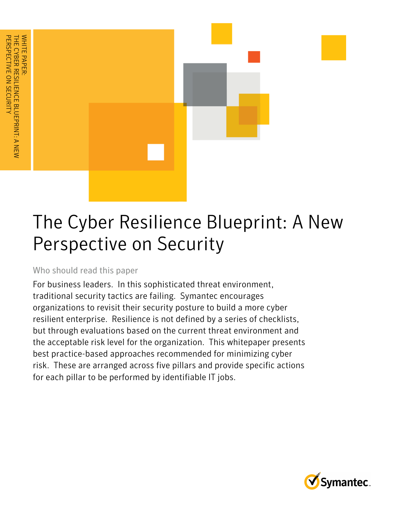

### Who should read this paper

For business leaders. In this sophisticated threat environment, traditional security tactics are failing. Symantec encourages organizations to revisit their security posture to build a more cyber resilient enterprise. Resilience is not defined by a series of checklists, but through evaluations based on the current threat environment and the acceptable risk level for the organization. This whitepaper presents best practice-based approaches recommended for minimizing cyber risk. These are arranged across five pillars and provide specific actions for each pillar to be performed by identifiable IT jobs.

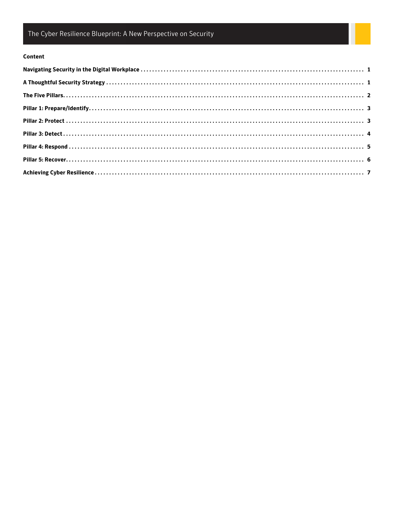#### Content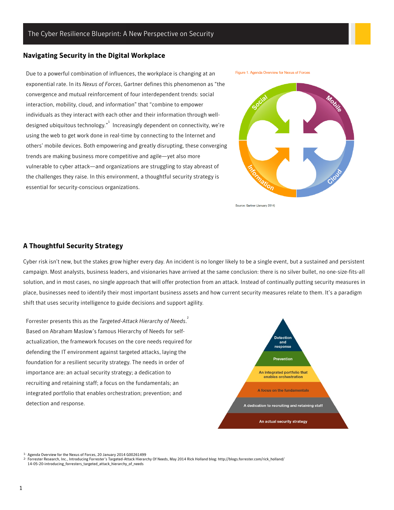#### <span id="page-3-0"></span>**Navigating Security in the Digital Workplace**

Due to a powerful combination of influences, the workplace is changing at an exponential rate. In its *Nexus of Forces*, Gartner defines this phenomenon as "the convergence and mutual reinforcement of four interdependent trends: social interaction, mobility, cloud, and information" that "combine to empower individuals as they interact with each other and their information through welldesigned ubiquitous technology. $^{\text{ }n^{\text{}}\text{ }}$  Increasingly dependent on connectivity, we're using the web to get work done in real-time by connecting to the Internet and others' mobile devices. Both empowering and greatly disrupting, these converging trends are making business more competitive and agile—yet also more vulnerable to cyber attack—and organizations are struggling to stay abreast of the challenges they raise. In this environment, a thoughtful security strategy is essential for security-conscious organizations.





Source: Gartner (January 2014)

#### <span id="page-3-1"></span>**A Thoughtful Security Strategy**

Cyber risk isn't new, but the stakes grow higher every day. An incident is no longer likely to be a single event, but a sustained and persistent campaign. Most analysts, business leaders, and visionaries have arrived at the same conclusion: there is no silver bullet, no one-size-fits-all solution, and in most cases, no single approach that will offer protection from an attack. Instead of continually putting security measures in place, businesses need to identify their most important business assets and how current security measures relate to them. It's a paradigm shift that uses security intelligence to guide decisions and support agility.

Forrester presents this as the *Targeted-Attack Hierarchy of Needs*. 2 Based on Abraham Maslow's famous Hierarchy of Needs for selfactualization, the framework focuses on the core needs required for defending the IT environment against targeted attacks, laying the foundation for a resilient security strategy. The needs in order of importance are: an actual security strategy; a dedication to recruiting and retaining staff; a focus on the fundamentals; an integrated portfolio that enables orchestration; prevention; and detection and response.



1- Agenda Overview for the Nexus of Forces, 20 January 2014 G00261499

<sup>2-</sup> Forrester Research, Inc., Introducing Forrester's Targeted-Attack Hierarchy Of Needs, May 2014 Rick Holland blog: http://blogs.forrester.com/rick\_holland/ 14-05-20-introducing\_forresters\_targeted\_attack\_hierarchy\_of\_needs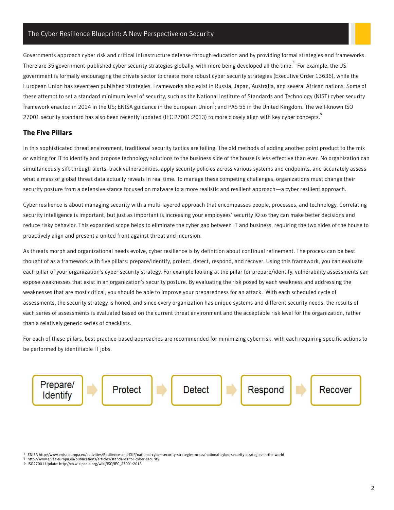Governments approach cyber risk and critical infrastructure defense through education and by providing formal strategies and frameworks. There are 35 government-published cyber security strategies globally, with more being developed all the time.  $^3$  For example, the US government is formally encouraging the private sector to create more robust cyber security strategies (Executive Order 13636), while the European Union has seventeen published strategies. Frameworks also exist in Russia, Japan, Australia, and several African nations. Some of these attempt to set a standard minimum level of security, such as the National Institute of Standards and Technology (NIST) cyber security framework enacted in 2014 in the US; ENISA guidance in the European Union<sup>4</sup>; and PAS 55 in the United Kingdom. The well-known ISO 27001 security standard has also been recently updated (IEC 27001:2013) to more closely align with key cyber concepts. 5

#### <span id="page-4-0"></span>**The Five Pillars**

In this sophisticated threat environment, traditional security tactics are failing. The old methods of adding another point product to the mix or waiting for IT to identify and propose technology solutions to the business side of the house is less effective than ever. No organization can simultaneously sift through alerts, track vulnerabilities, apply security policies across various systems and endpoints, and accurately assess what a mass of global threat data actually reveals in real time. To manage these competing challenges, organizations must change their security posture from a defensive stance focused on malware to a more realistic and resilient approach—a cyber resilient approach.

Cyber resilience is about managing security with a multi-layered approach that encompasses people, processes, and technology. Correlating security intelligence is important, but just as important is increasing your employees' security IQ so they can make better decisions and reduce risky behavior. This expanded scope helps to eliminate the cyber gap between IT and business, requiring the two sides of the house to proactively align and present a united front against threat and incursion.

As threats morph and organizational needs evolve, cyber resilience is by definition about continual refinement. The process can be best thought of as a framework with five pillars: prepare/identify, protect, detect, respond, and recover. Using this framework, you can evaluate each pillar of your organization's cyber security strategy. For example looking at the pillar for prepare/identify, vulnerability assessments can expose weaknesses that exist in an organization's security posture. By evaluating the risk posed by each weakness and addressing the weaknesses that are most critical, you should be able to improve your preparedness for an attack. With each scheduled cycle of assessments, the security strategy is honed, and since every organization has unique systems and different security needs, the results of each series of assessments is evaluated based on the current threat environment and the acceptable risk level for the organization, rather than a relatively generic series of checklists.

For each of these pillars, best practice-based approaches are recommended for minimizing cyber risk, with each requiring specific actions to be performed by identifiable IT jobs.



3- ENISA http://www.enisa.europa.eu/activities/Resilience-and-CIIP/national-cyber-security-strategies-ncsss/national-cyber-security-strategies-in-the-world

4- http://www.enisa.europa.eu/publications/articles/standards-for-cyber-security

5- ISO27001 Update: http://en.wikipedia.org/wiki/ISO/IEC\_27001:2013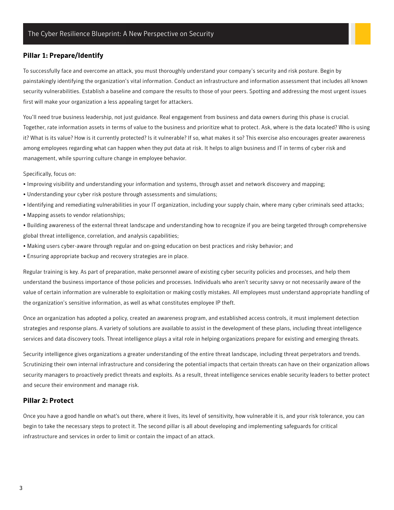#### <span id="page-5-0"></span>**Pillar 1: Prepare/Identify**

To successfully face and overcome an attack, you must thoroughly understand your company's security and risk posture. Begin by painstakingly identifying the organization's vital information. Conduct an infrastructure and information assessment that includes all known security vulnerabilities. Establish a baseline and compare the results to those of your peers. Spotting and addressing the most urgent issues first will make your organization a less appealing target for attackers.

You'll need true business leadership, not just guidance. Real engagement from business and data owners during this phase is crucial. Together, rate information assets in terms of value to the business and prioritize what to protect. Ask, where is the data located? Who is using it? What is its value? How is it currently protected? Is it vulnerable? If so, what makes it so? This exercise also encourages greater awareness among employees regarding what can happen when they put data at risk. It helps to align business and IT in terms of cyber risk and management, while spurring culture change in employee behavior.

Specifically, focus on:

- Improving visibility and understanding your information and systems, through asset and network discovery and mapping;
- Understanding your cyber risk posture through assessments and simulations;
- Identifying and remediating vulnerabilities in your IT organization, including your supply chain, where many cyber criminals seed attacks;
- Mapping assets to vendor relationships;
- Building awareness of the external threat landscape and understanding how to recognize if you are being targeted through comprehensive global threat intelligence, correlation, and analysis capabilities;
- Making users cyber-aware through regular and on-going education on best practices and risky behavior; and
- Ensuring appropriate backup and recovery strategies are in place.

Regular training is key. As part of preparation, make personnel aware of existing cyber security policies and processes, and help them understand the business importance of those policies and processes. Individuals who aren't security savvy or not necessarily aware of the value of certain information are vulnerable to exploitation or making costly mistakes. All employees must understand appropriate handling of the organization's sensitive information, as well as what constitutes employee IP theft.

Once an organization has adopted a policy, created an awareness program, and established access controls, it must implement detection strategies and response plans. A variety of solutions are available to assist in the development of these plans, including threat intelligence services and data discovery tools. Threat intelligence plays a vital role in helping organizations prepare for existing and emerging threats.

Security intelligence gives organizations a greater understanding of the entire threat landscape, including threat perpetrators and trends. Scrutinizing their own internal infrastructure and considering the potential impacts that certain threats can have on their organization allows security managers to proactively predict threats and exploits. As a result, threat intelligence services enable security leaders to better protect and secure their environment and manage risk.

#### <span id="page-5-1"></span>**Pillar 2: Protect**

Once you have a good handle on what's out there, where it lives, its level of sensitivity, how vulnerable it is, and your risk tolerance, you can begin to take the necessary steps to protect it. The second pillar is all about developing and implementing safeguards for critical infrastructure and services in order to limit or contain the impact of an attack.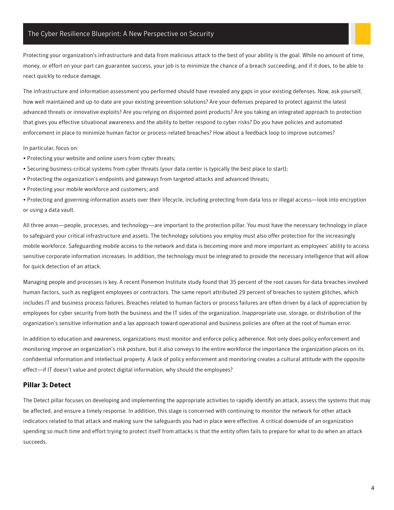Protecting your organization's infrastructure and data from malicious attack to the best of your ability is the goal. While no amount of time, money, or effort on your part can guarantee success, your job is to minimize the chance of a breach succeeding, and if it does, to be able to react quickly to reduce damage.

The infrastructure and information assessment you performed should have revealed any gaps in your existing defenses. Now, ask yourself, how well maintained and up-to-date are your existing prevention solutions? Are your defenses prepared to protect against the latest advanced threats or innovative exploits? Are you relying on disjointed point products? Are you taking an integrated approach to protection that gives you effective situational awareness and the ability to better respond to cyber risks? Do you have policies and automated enforcement in place to minimize human factor or process-related breaches? How about a feedback loop to improve outcomes?

In particular, focus on:

- Protecting your website and online users from cyber threats;
- Securing business-critical systems from cyber threats (your data center is typically the best place to start);
- Protecting the organization's endpoints and gateways from targeted attacks and advanced threats;
- Protecting your mobile workforce and customers; and

• Protecting and governing information assets over their lifecycle, including protecting from data loss or illegal access—look into encryption or using a data vault.

All three areas—people, processes, and technology—are important to the protection pillar. You must have the necessary technology in place to safeguard your critical infrastructure and assets. The technology solutions you employ must also offer protection for the increasingly mobile workforce. Safeguarding mobile access to the network and data is becoming more and more important as employees' ability to access sensitive corporate information increases. In addition, the technology must be integrated to provide the necessary intelligence that will allow for quick detection of an attack.

Managing people and processes is key. A recent Ponemon Institute study found that 35 percent of the root causes for data breaches involved human factors, such as negligent employees or contractors. The same report attributed 29 percent of breaches to system glitches, which includes IT and business process failures. Breaches related to human factors or process failures are often driven by a lack of appreciation by employees for cyber security from both the business and the IT sides of the organization. Inappropriate use, storage, or distribution of the organization's sensitive information and a lax approach toward operational and business policies are often at the root of human error.

In addition to education and awareness, organizations must monitor and enforce policy adherence. Not only does policy enforcement and monitoring improve an organization's risk posture, but it also conveys to the entire workforce the importance the organization places on its confidential information and intellectual property. A lack of policy enforcement and monitoring creates a cultural attitude with the opposite effect—if IT doesn't value and protect digital information, why should the employees?

#### <span id="page-6-0"></span>**Pillar 3: Detect**

The Detect pillar focuses on developing and implementing the appropriate activities to rapidly identify an attack, assess the systems that may be affected, and ensure a timely response. In addition, this stage is concerned with continuing to monitor the network for other attack indicators related to that attack and making sure the safeguards you had in place were effective. A critical downside of an organization spending so much time and effort trying to protect itself from attacks is that the entity often fails to prepare for what to do when an attack succeeds.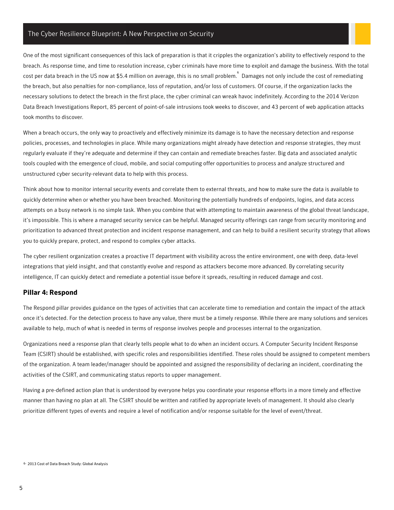One of the most significant consequences of this lack of preparation is that it cripples the organization's ability to effectively respond to the breach. As response time, and time to resolution increase, cyber criminals have more time to exploit and damage the business. With the total cost per data breach in the US now at \$5.4 million on average, this is no small problem. 6 Damages not only include the cost of remediating the breach, but also penalties for non-compliance, loss of reputation, and/or loss of customers. Of course, if the organization lacks the necessary solutions to detect the breach in the first place, the cyber criminal can wreak havoc indefinitely. According to the 2014 Verizon Data Breach Investigations Report, 85 percent of point-of-sale intrusions took weeks to discover, and 43 percent of web application attacks took months to discover.

When a breach occurs, the only way to proactively and effectively minimize its damage is to have the necessary detection and response policies, processes, and technologies in place. While many organizations might already have detection and response strategies, they must regularly evaluate if they're adequate and determine if they can contain and remediate breaches faster. Big data and associated analytic tools coupled with the emergence of cloud, mobile, and social computing offer opportunities to process and analyze structured and unstructured cyber security-relevant data to help with this process.

Think about how to monitor internal security events and correlate them to external threats, and how to make sure the data is available to quickly determine when or whether you have been breached. Monitoring the potentially hundreds of endpoints, logins, and data access attempts on a busy network is no simple task. When you combine that with attempting to maintain awareness of the global threat landscape, it's impossible. This is where a managed security service can be helpful. Managed security offerings can range from security monitoring and prioritization to advanced threat protection and incident response management, and can help to build a resilient security strategy that allows you to quickly prepare, protect, and respond to complex cyber attacks.

The cyber resilient organization creates a proactive IT department with visibility across the entire environment, one with deep, data-level integrations that yield insight, and that constantly evolve and respond as attackers become more advanced. By correlating security intelligence, IT can quickly detect and remediate a potential issue before it spreads, resulting in reduced damage and cost.

#### <span id="page-7-0"></span>**Pillar 4: Respond**

The Respond pillar provides guidance on the types of activities that can accelerate time to remediation and contain the impact of the attack once it's detected. For the detection process to have any value, there must be a timely response. While there are many solutions and services available to help, much of what is needed in terms of response involves people and processes internal to the organization.

Organizations need a response plan that clearly tells people what to do when an incident occurs. A Computer Security Incident Response Team (CSIRT) should be established, with specific roles and responsibilities identified. These roles should be assigned to competent members of the organization. A team leader/manager should be appointed and assigned the responsibility of declaring an incident, coordinating the activities of the CSIRT, and communicating status reports to upper management.

Having a pre-defined action plan that is understood by everyone helps you coordinate your response efforts in a more timely and effective manner than having no plan at all. The CSIRT should be written and ratified by appropriate levels of management. It should also clearly prioritize different types of events and require a level of notification and/or response suitable for the level of event/threat.

<sup>6-</sup> 2013 Cost of Data Breach Study: Global Analysis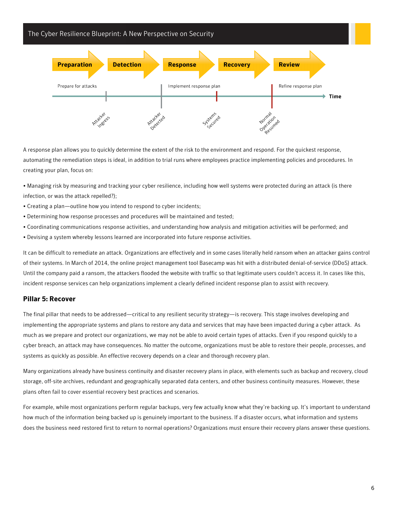

A response plan allows you to quickly determine the extent of the risk to the environment and respond. For the quickest response, automating the remediation steps is ideal, in addition to trial runs where employees practice implementing policies and procedures. In creating your plan, focus on:

• Managing risk by measuring and tracking your cyber resilience, including how well systems were protected during an attack (is there infection, or was the attack repelled?);

- Creating a plan—outline how you intend to respond to cyber incidents;
- Determining how response processes and procedures will be maintained and tested;
- Coordinating communications response activities, and understanding how analysis and mitigation activities will be performed; and
- Devising a system whereby lessons learned are incorporated into future response activities.

It can be difficult to remediate an attack. Organizations are effectively and in some cases literally held ransom when an attacker gains control of their systems. In March of 2014, the online project management tool Basecamp was hit with a distributed denial-of-service (DDoS) attack. Until the company paid a ransom, the attackers flooded the website with traffic so that legitimate users couldn't access it. In cases like this, incident response services can help organizations implement a clearly defined incident response plan to assist with recovery.

#### <span id="page-8-0"></span>**Pillar 5: Recover**

The final pillar that needs to be addressed—critical to any resilient security strategy—is recovery. This stage involves developing and implementing the appropriate systems and plans to restore any data and services that may have been impacted during a cyber attack. As much as we prepare and protect our organizations, we may not be able to avoid certain types of attacks. Even if you respond quickly to a cyber breach, an attack may have consequences. No matter the outcome, organizations must be able to restore their people, processes, and systems as quickly as possible. An effective recovery depends on a clear and thorough recovery plan.

Many organizations already have business continuity and disaster recovery plans in place, with elements such as backup and recovery, cloud storage, off-site archives, redundant and geographically separated data centers, and other business continuity measures. However, these plans often fail to cover essential recovery best practices and scenarios.

For example, while most organizations perform regular backups, very few actually know what they're backing up. It's important to understand how much of the information being backed up is genuinely important to the business. If a disaster occurs, what information and systems does the business need restored first to return to normal operations? Organizations must ensure their recovery plans answer these questions.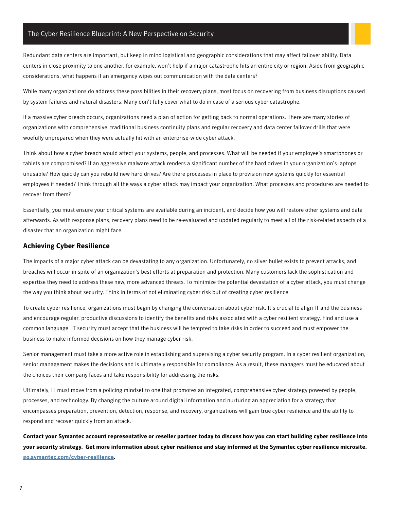Redundant data centers are important, but keep in mind logistical and geographic considerations that may affect failover ability. Data centers in close proximity to one another, for example, won't help if a major catastrophe hits an entire city or region. Aside from geographic considerations, what happens if an emergency wipes out communication with the data centers?

While many organizations do address these possibilities in their recovery plans, most focus on recovering from business disruptions caused by system failures and natural disasters. Many don't fully cover what to do in case of a serious cyber catastrophe.

If a massive cyber breach occurs, organizations need a plan of action for getting back to normal operations. There are many stories of organizations with comprehensive, traditional business continuity plans and regular recovery and data center failover drills that were woefully unprepared when they were actually hit with an enterprise-wide cyber attack.

Think about how a cyber breach would affect your systems, people, and processes. What will be needed if your employee's smartphones or tablets are compromised? If an aggressive malware attack renders a significant number of the hard drives in your organization's laptops unusable? How quickly can you rebuild new hard drives? Are there processes in place to provision new systems quickly for essential employees if needed? Think through all the ways a cyber attack may impact your organization. What processes and procedures are needed to recover from them?

Essentially, you must ensure your critical systems are available during an incident, and decide how you will restore other systems and data afterwards. As with response plans, recovery plans need to be re-evaluated and updated regularly to meet all of the risk-related aspects of a disaster that an organization might face.

#### <span id="page-9-0"></span>**Achieving Cyber Resilience**

The impacts of a major cyber attack can be devastating to any organization. Unfortunately, no silver bullet exists to prevent attacks, and breaches will occur in spite of an organization's best efforts at preparation and protection. Many customers lack the sophistication and expertise they need to address these new, more advanced threats. To minimize the potential devastation of a cyber attack, you must change the way you think about security. Think in terms of not eliminating cyber risk but of creating cyber resilience.

To create cyber resilience, organizations must begin by changing the conversation about cyber risk. It's crucial to align IT and the business and encourage regular, productive discussions to identify the benefits and risks associated with a cyber resilient strategy. Find and use a common language. IT security must accept that the business will be tempted to take risks in order to succeed and must empower the business to make informed decisions on how they manage cyber risk.

Senior management must take a more active role in establishing and supervising a cyber security program. In a cyber resilient organization, senior management makes the decisions and is ultimately responsible for compliance. As a result, these managers must be educated about the choices their company faces and take responsibility for addressing the risks.

Ultimately, IT must move from a policing mindset to one that promotes an integrated, comprehensive cyber strategy powered by people, processes, and technology. By changing the culture around digital information and nurturing an appreciation for a strategy that encompasses preparation, prevention, detection, response, and recovery, organizations will gain true cyber resilience and the ability to respond and recover quickly from an attack.

**Contact your Symantec account representative or reseller partner today to discuss how you can start building cyber resilience into your security strategy. Get more information about cyber resilience and stay informed at the Symantec cyber resilience microsite. [go.symantec.com/cyber-resilience.](http://go.symantec.com/cyber-resilience)**